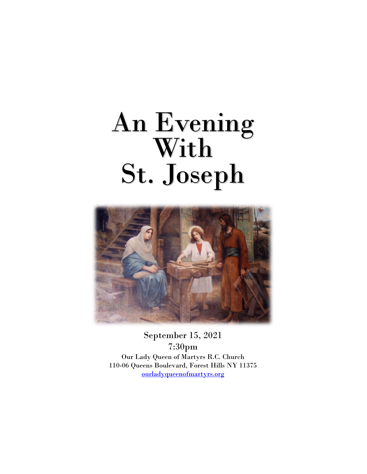# An Evening With St. Joseph



September 15, 2021 7:30pm Our Lady Queen of Martyrs R.C. Church 110-06 Queens Boulevard, Forest Hills NY 11375 ourladyqueenofmartyrs.org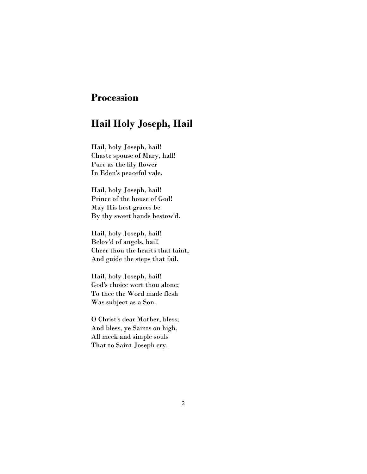# Procession

# Hail Holy Joseph, Hail

Hail, holy Joseph, hail! Chaste spouse of Mary, hall! Pure as the lily flower In Eden's peaceful vale.

Hail, holy Joseph, hail! Prince of the house of God! May His best graces be By thy sweet hands bestow'd.

Hail, holy Joseph, hail! Belov'd of angels, hail! Cheer thou the hearts that faint, And guide the steps that fail.

Hail, holy Joseph, hail! God's choice wert thou alone; To thee the Word made flesh Was subject as a Son.

O Christ's dear Mother, bless; And bless, ye Saints on high, All meek and simple souls That to Saint Joseph cry.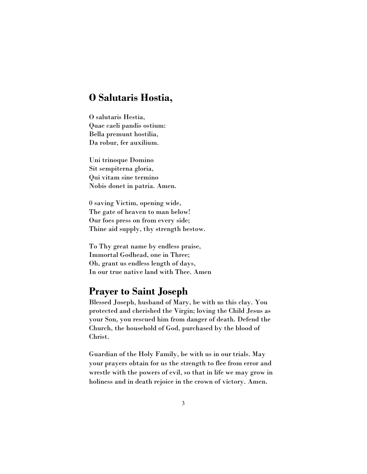## O Salutaris Hostia,

O salutaris Hestia, Quae caeli pandis ostium: Bella premunt hostilia, Da robur, fer auxilium.

Uni trinoque Domino Sit sempiterna gloria, Qui vitam sine termino Nobis donet in patria. Amen.

0 saving Victim, opening wide, The gate of heaven to man below! Our foes press on from every side; Thine aid supply, thy strength bestow.

To Thy great name by endless praise, Immortal Godhead, one in Three; Oh, grant us endless length of days, In our true native land with Thee. Amen

## Prayer to Saint Joseph

Blessed Joseph, husband of Mary, be with us this clay. You protected and cherished the Virgin; loving the Child Jesus as your Son, you rescued him from danger of death. Defend the Church, the household of God, purchased by the blood of Christ.

Guardian of the Holy Family, be with us in our trials. May your prayers obtain for us the strength to flee from error and wrestle with the powers of evil, so that in life we may grow in holiness and in death rejoice in the crown of victory. Amen.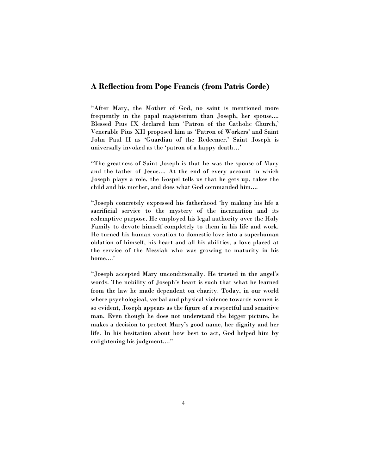#### A Reflection from Pope Francis (from Patris Corde)

"After Mary, the Mother of God, no saint is mentioned more frequently in the papal magisterium than Joseph, her spouse.... Blessed Pius IX declared him 'Patron of the Catholic Church,' Venerable Pius XII proposed him as 'Patron of Workers' and Saint John Paul II as 'Guardian of the Redeemer.' Saint Joseph is universally invoked as the 'patron of a happy death…'

"The greatness of Saint Joseph is that he was the spouse of Mary and the father of Jesus.... At the end of every account in which Joseph plays a role, the Gospel tells us that he gets up, takes the child and his mother, and does what God commanded him....

"Joseph concretely expressed his fatherhood 'by making his life a sacrificial service to the mystery of the incarnation and its redemptive purpose. He employed his legal authority over the Holy Family to devote himself completely to them in his life and work. He turned his human vocation to domestic love into a superhuman oblation of himself, his heart and all his abilities, a love placed at the service of the Messiah who was growing to maturity in his home....'

"Joseph accepted Mary unconditionally. He trusted in the angel's words. The nobility of Joseph's heart is such that what he learned from the law he made dependent on charity. Today, in our world where psychological, verbal and physical violence towards women is so evident, Joseph appears as the figure of a respectful and sensitive man. Even though he does not understand the bigger picture, he makes a decision to protect Mary's good name, her dignity and her life. In his hesitation about how best to act, God helped him by enlightening his judgment...."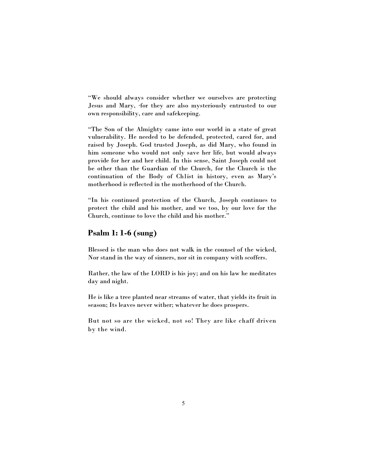"We should always consider whether we ourselves are protecting Jesus and Mary, ·for they are also mysteriously entrusted to our own responsibility, care and safekeeping.

"The Son of the Almighty came into our world in a state of great vulnerability. He needed to be defended, protected, cared for, and raised by Joseph. God trusted Joseph, as did Mary, who found in him someone who would not only save her life, but would always provide for her and her child. In this sense, Saint Joseph could not be other than the Guardian of the Church, for the Church is the continuation of the Body of Ch1ist in history, even as Mary's motherhood is reflected in the motherhood of the Church.

"In his continued protection of the Church, Joseph continues to protect the child and his mother, and we too, by our love for the Church, continue to love the child and his mother."

## Psalm 1: 1-6 (sung)

Blessed is the man who does not walk in the counsel of the wicked, Nor stand in the way of sinners, nor sit in company with scoffers.

Rather, the law of the LORD is his joy; and on his law he meditates day and night.

He is like a tree planted near streams of water, that yields its fruit in season; Its leaves never wither; whatever he does prospers.

But not so are the wicked, not so! They are like chaff driven by the wind.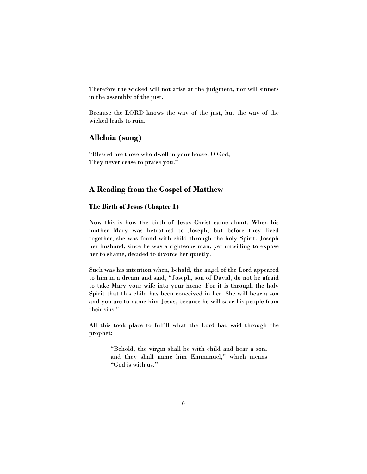Therefore the wicked will not arise at the judgment, nor will sinners in the assembly of the just.

Because the LORD knows the way of the just, but the way of the wicked leads to ruin.

#### Alleluia (sung)

"Blessed are those who dwell in your house, O God, They never cease to praise you."

#### A Reading from the Gospel of Matthew

#### The Birth of Jesus (Chapter 1)

Now this is how the birth of Jesus Christ came about. When his mother Mary was betrothed to Joseph, but before they lived together, she was found with child through the holy Spirit. Joseph her husband, since he was a righteous man, yet unwilling to expose her to shame, decided to divorce her quietly.

Such was his intention when, behold, the angel of the Lord appeared to him in a dream and said, "Joseph, son of David, do not be afraid to take Mary your wife into your home. For it is through the holy Spirit that this child has been conceived in her. She will bear a son and you are to name him Jesus, because he will save his people from their sins."

All this took place to fulfill what the Lord had said through the prophet:

> "Behold, the virgin shall be with child and bear a son, and they shall name him Emmanuel," which means "God is with us."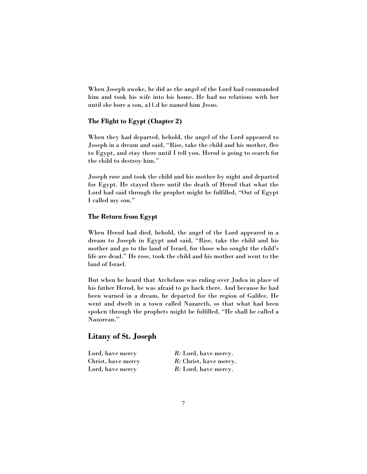When Joseph awoke, he did as the angel of the Lord had commanded him and took his wife into his home. He had no relations with her until she bore a son, a11.d he named him Jesus.

#### The Flight to Egypt (Chapter 2)

When they had departed, behold, the angel of the Lord appeared to Joseph in a dream and said, "Rise, take the child and his mother, flee to Egypt, and stay there until I tell you. Herod is going to search for the child to destroy him."

Joseph rose and took the child and his mother by night and departed for Egypt. He stayed there until the death of Herod that what the Lord had said through the prophet might be fulfilled, "Out of Egypt I called my son."

#### The Return from Egypt

When Herod had died, behold, the angel of the Lord appeared in a dream to Joseph in Egypt and said, "Rise, take the child and his mother and go to the land of Israel, for those who sought the child's life are dead." He rose, took the child and his mother and went to the land of Israel.

But when he heard that Archelaus was ruling over Judea in place of his father Herod, he was afraid to go back there. And because he had been warned in a dream, he departed for the region of Galilee. He went and dwelt in a town called Nazareth, so that what had been spoken through the prophets might be fulfilled, "He shall be called a Nazorean."

#### Litany of St. Joseph

| Lord, have mercy   | R: Lord, have mercy.   |
|--------------------|------------------------|
| Christ, have mercy | R: Christ, have mercy. |
| Lord, have mercy   | R: Lord, have mercy.   |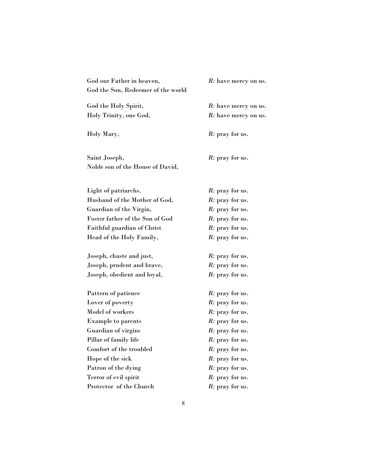| God our Father in heaven,          | R: have mercy on us.    |
|------------------------------------|-------------------------|
| God the Son, Redeemer of the world |                         |
| God the Holy Spirit,               | R: have mercy on us.    |
| Holy Trinity, one God,             | R: have mercy on us.    |
| Holy Mary,                         | R: pray for us.         |
| Saint Joseph,                      | <i>R</i> : pray for us. |
| Noble son of the House of David,   |                         |
| Light of patriarchs,               | <i>R</i> : pray for us. |
| Husband of the Mother of God,      | <i>R</i> : pray for us. |
| Guardian of the Virgin,            | R: pray for us.         |
| Foster father of the Son of God    | R: pray for us.         |
| Faithful guardian of Christ        | R: pray for us.         |
| Head of the Holy Family,           | R: pray for us.         |
| Joseph, chaste and just,           | <i>R</i> : pray for us. |
| Joseph, prudent and brave,         | R: pray for us.         |
| Joseph, obedient and loyal,        | R: pray for us.         |
| Pattern of patience                | <i>R</i> : pray for us. |
| Lover of poverty                   | R: pray for us.         |
| Model of workers                   | R: pray for us.         |
| <b>Example to parents</b>          | <i>R</i> : pray for us. |
| Guardian of virgins                | <i>R</i> : pray for us. |
| Pillar of family life              | R: pray for us.         |
| Comfort of the troubled            | R: pray for us.         |
| Hope of the sick                   | R: pray for us.         |
| Patron of the dying                | R: pray for us.         |
| Terror of evil spirit              | R: pray for us.         |
| Protector of the Church            | R: pray for us.         |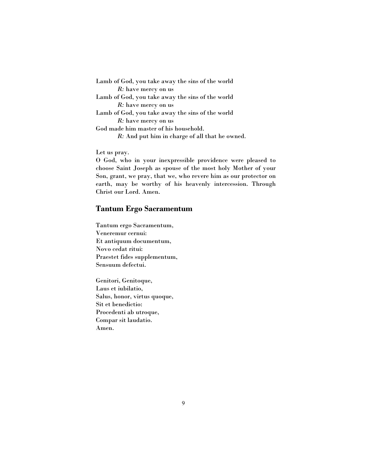| Lamb of God, you take away the sins of the world |
|--------------------------------------------------|
| R: have mercy on us                              |
| Lamb of God, you take away the sins of the world |
| R: have mercy on us                              |
| Lamb of God, you take away the sins of the world |
| R: have mercy on us                              |
| God made him master of his household.            |
| R: And put him in charge of all that he owned.   |
|                                                  |

Let us pray.

O God, who in your inexpressible providence were pleased to choose Saint Joseph as spouse of the most holy Mother of your Son, grant, we pray, that we, who revere him as our protector on earth, may be worthy of his heavenly intercession. Through Christ our Lord. Amen.

## Tantum Ergo Sacramentum

Tantum ergo Sacramentum, Veneremur cernui: Et antiquum documentum, Novo cedat ritui: Praestet fides supplementum, Sensuum defectui.

Genitori, Genitoque, Laus et iubilatio, Salus, honor, virtus quoque, Sit et benedictio: Procedenti ab utroque, Compar sit laudatio. Amen.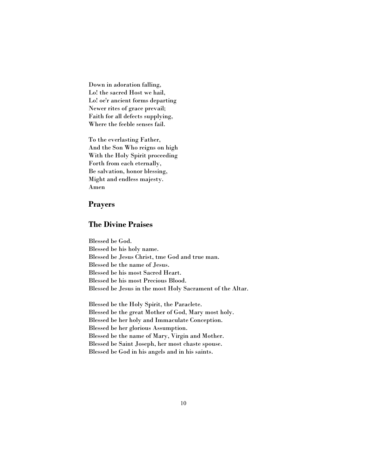Down in adoration falling, Lo! the sacred Host we hail, Lo! oe'r ancient forms departing Newer rites of grace prevail; Faith for all defects supplying, Where the feeble senses fail.

To the everlasting Father, And the Son Who reigns on high With the Holy Spirit proceeding Forth from each eternally, Be salvation, honor blessing, Might and endless majesty. Amen

#### Prayers

#### The Divine Praises

Blessed be God. Blessed be his holy name. Blessed be Jesus Christ, tme God and true man. Blessed be the name of Jesus. Blessed be his most Sacred Heart. Blessed be his most Precious Blood. Blessed be Jesus in the most Holy Sacrament of the Altar.

Blessed be the Holy Spirit, the Paraclete. Blessed be the great Mother of God, Mary most holy. Blessed be her holy and Immaculate Conception. Blessed be her glorious Assumption. Blessed be the name of Mary, Virgin and Mother. Blessed be Saint Joseph, her most chaste spouse. Blessed be God in his angels and in his saints.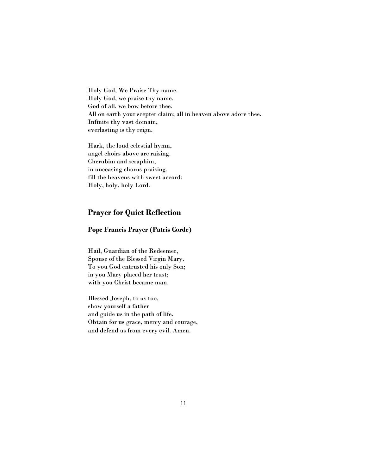Holy God, We Praise Thy name. Holy God, we praise thy name. God of all, we bow before thee. All on earth your scepter claim; all in heaven above adore thee. Infinite thy vast domain, everlasting is thy reign.

Hark, the loud celestial hymn, angel choirs above are raising. Cherubim and seraphim, in unceasing chorus praising, fill the heavens with sweet accord: Holy, holy, holy Lord.

### Prayer for Quiet Reflection

#### Pope Francis Prayer (Patris Corde)

Hail, Guardian of the Redeemer, Spouse of the Blessed Virgin Mary. To you God entrusted his only Son; in you Mary placed her trust; with you Christ became man.

Blessed Joseph, to us too, show yourself a father and guide us in the path of life. Obtain for us grace, mercy and courage, and defend us from every evil. Amen.